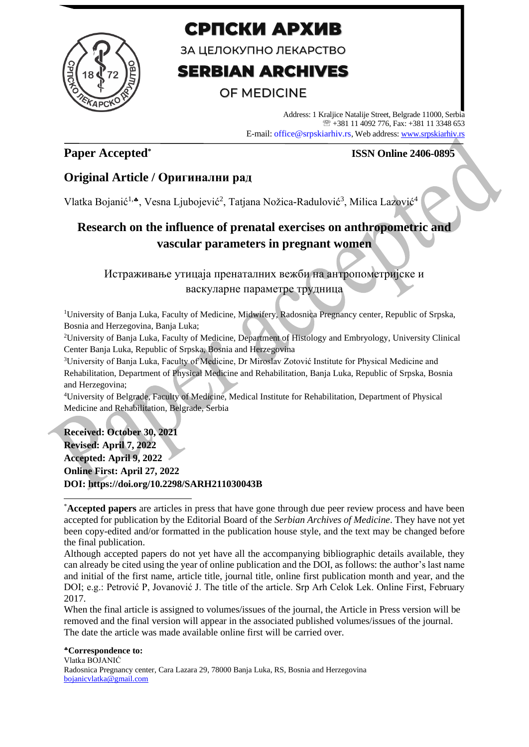

# СРПСКИ АРХИВ

ЗА ЦЕЛОКУПНО ЛЕКАРСТВО

# **SERBIAN ARCHIVES**

# **OF MEDICINE**

Address: 1 Kraljice Natalije Street, Belgrade 11000, Serbia +381 11 4092 776, Fax: +381 11 3348 653 E-mail: office@srpskiarhiv.rs, Web address[: www.srpskiarhiv.rs](http://www.srpskiarhiv.rs/)

# **Paper Accepted\***

### **ISSN Online 2406-0895**

# **Original Article / Оригинални рад**

Vlatka Bojanić<sup>1,</sup>\*, Vesna Ljubojević<sup>2</sup>, Tatjana Nožica-Radulović<sup>3</sup>, Milica Lazović<sup>4</sup>

# **Research on the influence of prenatal exercises on anthropometric and vascular parameters in pregnant women**

Истраживање утицаја пренаталних вежби на антропометријске и васкуларне параметре трудница

<sup>1</sup>University of Banja Luka, Faculty of Medicine, Midwifery, Radosnica Pregnancy center, Republic of Srpska, Bosnia and Herzegovina, Banja Luka;

<sup>2</sup>University of Banja Luka, Faculty of Medicine, Department of Histology and Embryology, University Clinical Center Banja Luka, Republic of Srpska, Bosnia and Herzegovina

<sup>3</sup>University of Banja Luka, Faculty of Medicine, Dr Miroslav Zotović Institute for Physical Medicine and Rehabilitation, Department of Physical Medicine and Rehabilitation, Banja Luka, Republic of Srpska, Bosnia and Herzegovina;

<sup>4</sup>University of Belgrade, Faculty of Medicine, Medical Institute for Rehabilitation, Department of Physical Medicine and Rehabilitation, Belgrade, Serbia

**Received: October 30, 2021 Revised: April 7, 2022 Accepted: April 9, 2022 Online First: April 27, 2022 DOI: https://doi.org/10.2298/SARH211030043B**

Although accepted papers do not yet have all the accompanying bibliographic details available, they can already be cited using the year of online publication and the DOI, as follows: the author's last name and initial of the first name, article title, journal title, online first publication month and year, and the DOI; e.g.: Petrović P, Jovanović J. The title of the article. Srp Arh Celok Lek. Online First, February 2017.

When the final article is assigned to volumes/issues of the journal, the Article in Press version will be removed and the final version will appear in the associated published volumes/issues of the journal. The date the article was made available online first will be carried over.

**Correspondence to:** Vlatka BOJANIĆ Radosnica Pregnancy center, Cara Lazara 29, 78000 Banja Luka, RS, Bosnia and Herzegovina [bojanicvlatka@gmail.com](mailto:bojanicvlatka@gmail.com)

<sup>\*</sup>**Accepted papers** are articles in press that have gone through due peer review process and have been accepted for publication by the Editorial Board of the *Serbian Archives of Medicine*. They have not yet been copy-edited and/or formatted in the publication house style, and the text may be changed before the final publication.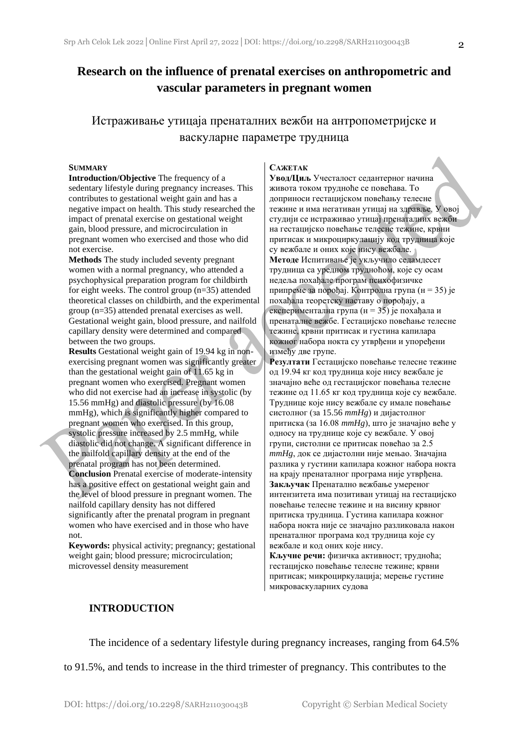# **Research on the influence of prenatal exercises on anthropometric and vascular parameters in pregnant women**

Истраживање утицаја пренаталних вежби на антропометријске и васкуларне параметре трудница

#### **SUMMARY**

**Introduction/Objective** The frequency of a sedentary lifestyle during pregnancy increases. This contributes to gestational weight gain and has a negative impact on health. This study researched the impact of prenatal exercise on gestational weight gain, blood pressure, and microcirculation in pregnant women who exercised and those who did not exercise.

**Methods** The study included seventy pregnant women with a normal pregnancy, who attended a psychophysical preparation program for childbirth for eight weeks. The control group (n=35) attended theoretical classes on childbirth, and the experimental group (n=35) attended prenatal exercises as well. Gestational weight gain, blood pressure, and nailfold capillary density were determined and compared between the two groups.

**Results** Gestational weight gain of 19.94 kg in nonexercising pregnant women was significantly greater than the gestational weight gain of 11.65 kg in pregnant women who exercised. Pregnant women who did not exercise had an increase in systolic (by 15.56 mmHg) and diastolic pressure (by 16.08 mmHg), which is significantly higher compared to pregnant women who exercised. In this group, systolic pressure increased by 2.5 mmHg, while diastolic did not change. A significant difference in the nailfold capillary density at the end of the prenatal program has not been determined. **Conclusion** Prenatal exercise of moderate-intensity has a positive effect on gestational weight gain and the level of blood pressure in pregnant women. The

nailfold capillary density has not differed significantly after the prenatal program in pregnant women who have exercised and in those who have not.

**Keywords:** physical activity; pregnancy; gestational weight gain; blood pressure; microcirculation; microvessel density measurement

#### **САЖЕТАК**

**Увод/Циљ** Учесталост седантерног начина живота током трудноће се повећава. То доприноси гестацијском повећању телесне тежине и има негативан утицај на здравље. У овој студији се истраживао утицај пренаталних вежби на гестацијско повећање телесне тежине, крвни притисак и микроциркулацију код трудница које су вежбале и оних које нису вежбале. **Методе** Испитивање је укључило седамдесет трудница са уредном трудноћом, које су осам недеља похађале програм психофизичке припреме за порођај. Контролна група (н = 35) је похађала теоретску наставу о порођају, а експериментална група (н = 35) је похађала и пренаталне вежбе. Гестацијско повећање телесне тежине, крвни притисак и густина капилара кожног набора нокта су утврђени и упоређени између две групе.

**Резултати** Гестацијско повећање телесне тежине од 19.94 кг код трудница које нису вежбале је значајно веће од гестацијског повећања телесне тежине од 11.65 кг код трудница које су вежбале. Труднице које нису вежбале су имале повећање систолног (за 15.56 *mmHg*) и дијастолног притиска (за 16.08 *mmHg*), што је значајно веће у односу на труднице које су вежбале. У овој групи, систолни се притисак повећао за 2.5 *mmHg*, док се дијастолни није мењао. Значајна разлика у густини капилара кожног набора нокта на крају пренаталног програма није утврђена. **Закључак** Пренатално вежбање умереног интензитета има позитиван утицај на гестацијско повећање телесне тежине и на висину крвног притиска трудница. Густина капилара кожног набора нокта није се значајно разликовала након пренаталног програма код трудница које су вежбале и код оних које нису.

**Кључне речи:** физичка активност; трудноћа; гестацијско повећање телесне тежине; крвни притисак; микроциркулација; мерење густине микроваскуларних судова

#### **INTRODUCTION**

The incidence of a sedentary lifestyle during pregnancy increases, ranging from 64.5%

to 91.5%, and tends to increase in the third trimester of pregnancy. This contributes to the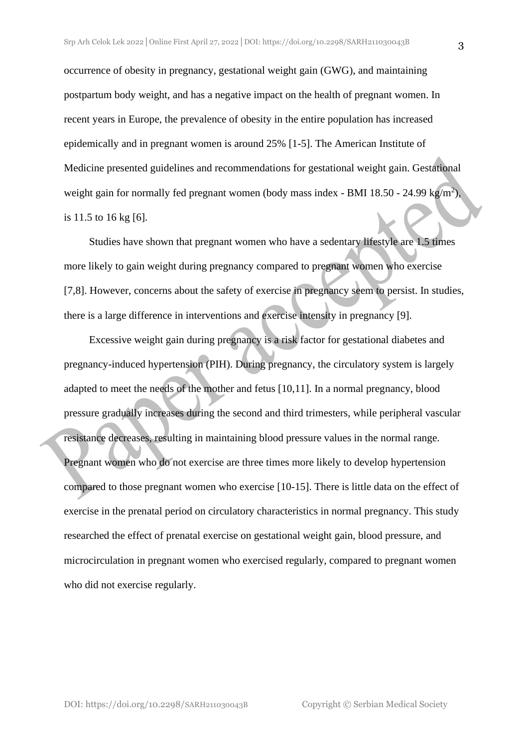occurrence of obesity in pregnancy, gestational weight gain (GWG), and maintaining postpartum body weight, and has a negative impact on the health of pregnant women. In recent years in Europe, the prevalence of obesity in the entire population has increased epidemically and in pregnant women is around 25% [1-5]. The American Institute of Medicine presented guidelines and recommendations for gestational weight gain. Gestational weight gain for normally fed pregnant women (body mass index - BMI 18.50 - 24.99 kg/m<sup>2</sup>), is 11.5 to 16 kg [6].

Studies have shown that pregnant women who have a sedentary lifestyle are 1.5 times more likely to gain weight during pregnancy compared to pregnant women who exercise [7,8]. However, concerns about the safety of exercise in pregnancy seem to persist. In studies, there is a large difference in interventions and exercise intensity in pregnancy [9].

Excessive weight gain during pregnancy is a risk factor for gestational diabetes and pregnancy-induced hypertension (PIH). During pregnancy, the circulatory system is largely adapted to meet the needs of the mother and fetus [10,11]. In a normal pregnancy, blood pressure gradually increases during the second and third trimesters, while peripheral vascular resistance decreases, resulting in maintaining blood pressure values in the normal range. Pregnant women who do not exercise are three times more likely to develop hypertension compared to those pregnant women who exercise [10-15]. There is little data on the effect of exercise in the prenatal period on circulatory characteristics in normal pregnancy. This study researched the effect of prenatal exercise on gestational weight gain, blood pressure, and microcirculation in pregnant women who exercised regularly, compared to pregnant women who did not exercise regularly.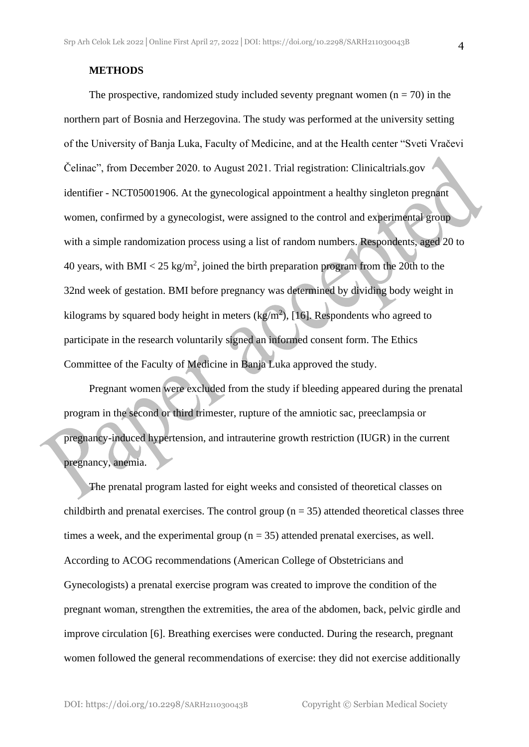#### **METHODS**

The prospective, randomized study included seventy pregnant women  $(n = 70)$  in the northern part of Bosnia and Herzegovina. The study was performed at the university setting of the University of Banja Luka, Faculty of Medicine, and at the Health center "Sveti Vračevi Čelinac", from December 2020. to August 2021. Trial registration: Clinicaltrials.gov identifier - NCT05001906. At the gynecological appointment a healthy singleton pregnant women, confirmed by a gynecologist, were assigned to the control and experimental group with a simple randomization process using a list of random numbers. Respondents, aged 20 to 40 years, with BMI  $< 25 \text{ kg/m}^2$ , joined the birth preparation program from the 20th to the 32nd week of gestation. BMI before pregnancy was determined by dividing body weight in kilograms by squared body height in meters  $\frac{\text{kg}}{m^2}$ , [16]. Respondents who agreed to participate in the research voluntarily signed an informed consent form. The Ethics Committee of the Faculty of Medicine in Banja Luka approved the study.

Pregnant women were excluded from the study if bleeding appeared during the prenatal program in the second or third trimester, rupture of the amniotic sac, preeclampsia or pregnancy-induced hypertension, and intrauterine growth restriction (IUGR) in the current pregnancy, anemia.

The prenatal program lasted for eight weeks and consisted of theoretical classes on childbirth and prenatal exercises. The control group ( $n = 35$ ) attended theoretical classes three times a week, and the experimental group  $(n = 35)$  attended prenatal exercises, as well. According to ACOG recommendations (American College of Obstetricians and Gynecologists) a prenatal exercise program was created to improve the condition of the pregnant woman, strengthen the extremities, the area of the abdomen, back, pelvic girdle and improve circulation [6]. Breathing exercises were conducted. During the research, pregnant women followed the general recommendations of exercise: they did not exercise additionally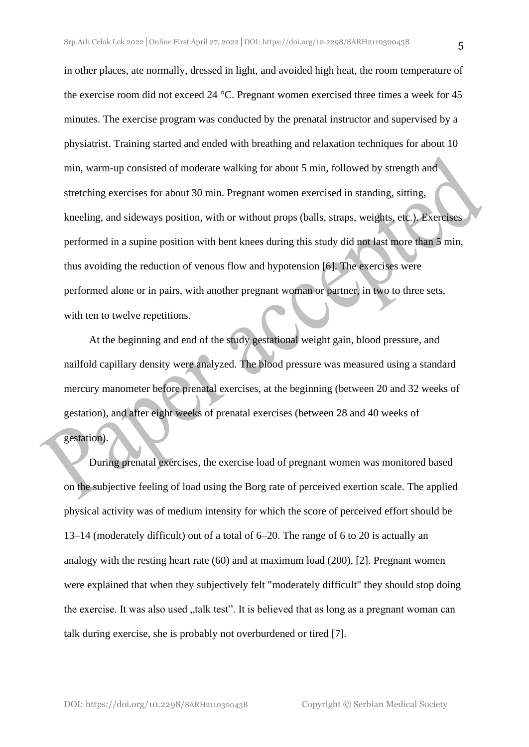in other places, ate normally, dressed in light, and avoided high heat, the room temperature of the exercise room did not exceed 24 °C. Pregnant women exercised three times a week for 45 minutes. The exercise program was conducted by the prenatal instructor and supervised by a physiatrist. Training started and ended with breathing and relaxation techniques for about 10 min, warm-up consisted of moderate walking for about 5 min, followed by strength and stretching exercises for about 30 min. Pregnant women exercised in standing, sitting, kneeling, and sideways position, with or without props (balls, straps, weights, etc.). Exercises performed in a supine position with bent knees during this study did not last more than 5 min, thus avoiding the reduction of venous flow and hypotension [6]. The exercises were performed alone or in pairs, with another pregnant woman or partner, in two to three sets, with ten to twelve repetitions.

At the beginning and end of the study gestational weight gain, blood pressure, and nailfold capillary density were analyzed. The blood pressure was measured using a standard mercury manometer before prenatal exercises, at the beginning (between 20 and 32 weeks of gestation), and after eight weeks of prenatal exercises (between 28 and 40 weeks of gestation).

During prenatal exercises, the exercise load of pregnant women was monitored based on the subjective feeling of load using the Borg rate of perceived exertion scale. The applied physical activity was of medium intensity for which the score of perceived effort should be 13–14 (moderately difficult) out of a total of 6–20. The range of 6 to 20 is actually an analogy with the resting heart rate (60) and at maximum load (200), [2]. Pregnant women were explained that when they subjectively felt "moderately difficult" they should stop doing the exercise. It was also used , talk test". It is believed that as long as a pregnant woman can talk during exercise, she is probably not overburdened or tired [7].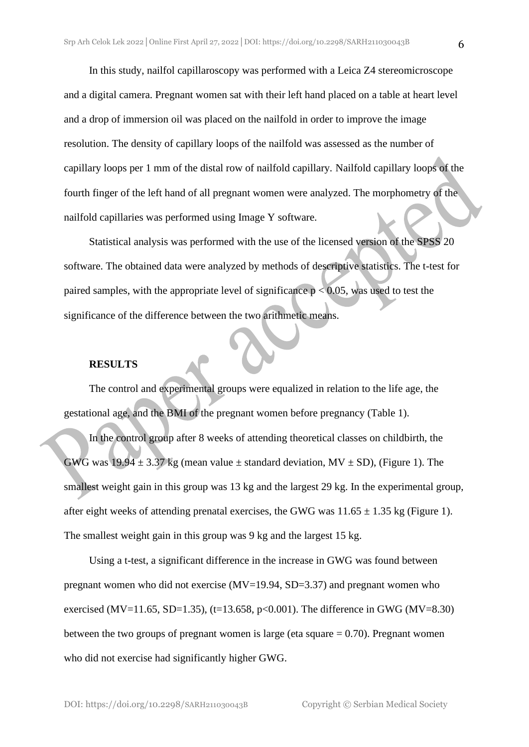In this study, nailfol capillaroscopy was performed with a Leica Z4 stereomicroscope and a digital camera. Pregnant women sat with their left hand placed on a table at heart level and a drop of immersion oil was placed on the nailfold in order to improve the image resolution. The density of capillary loops of the nailfold was assessed as the number of capillary loops per 1 mm of the distal row of nailfold capillary. Nailfold capillary loops of the fourth finger of the left hand of all pregnant women were analyzed. The morphometry of the nailfold capillaries was performed using Image Y software.

Statistical analysis was performed with the use of the licensed version of the SPSS 20 software. The obtained data were analyzed by methods of descriptive statistics. The t-test for paired samples, with the appropriate level of significance  $p < 0.05$ , was used to test the significance of the difference between the two arithmetic means.

#### **RESULTS**

The control and experimental groups were equalized in relation to the life age, the gestational age, and the BMI of the pregnant women before pregnancy (Table 1).

In the control group after 8 weeks of attending theoretical classes on childbirth, the GWG was  $19.94 \pm 3.37$  kg (mean value  $\pm$  standard deviation, MV  $\pm$  SD), (Figure 1). The smallest weight gain in this group was 13 kg and the largest 29 kg. In the experimental group, after eight weeks of attending prenatal exercises, the GWG was  $11.65 \pm 1.35$  kg (Figure 1). The smallest weight gain in this group was 9 kg and the largest 15 kg.

Using a t-test, a significant difference in the increase in GWG was found between pregnant women who did not exercise (MV=19.94, SD=3.37) and pregnant women who exercised (MV=11.65, SD=1.35), (t=13.658, p<0.001). The difference in GWG (MV=8.30) between the two groups of pregnant women is large (eta square  $= 0.70$ ). Pregnant women who did not exercise had significantly higher GWG.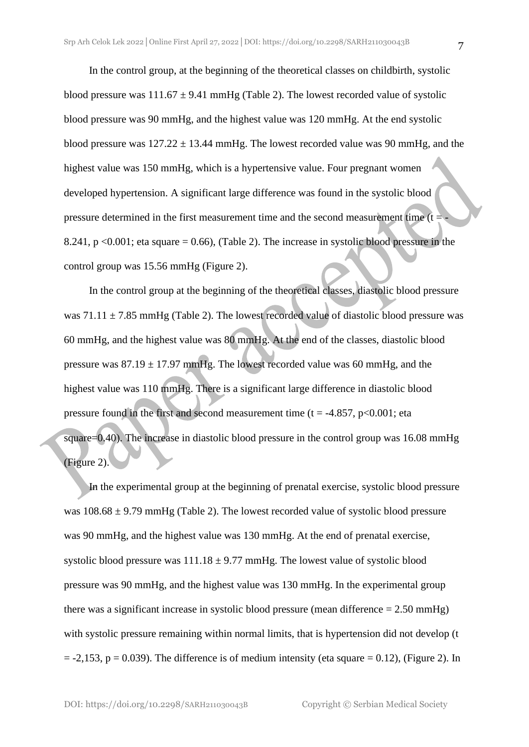7

In the control group, at the beginning of the theoretical classes on childbirth, systolic blood pressure was  $111.67 \pm 9.41$  mmHg (Table 2). The lowest recorded value of systolic blood pressure was 90 mmHg, and the highest value was 120 mmHg. At the end systolic blood pressure was  $127.22 \pm 13.44$  mmHg. The lowest recorded value was 90 mmHg, and the highest value was 150 mmHg, which is a hypertensive value. Four pregnant women developed hypertension. A significant large difference was found in the systolic blood pressure determined in the first measurement time and the second measurement time  $(t =$ 8.241,  $p < 0.001$ ; eta square = 0.66), (Table 2). The increase in systolic blood pressure in the control group was 15.56 mmHg (Figure 2).

In the control group at the beginning of the theoretical classes, diastolic blood pressure was  $71.11 \pm 7.85$  mmHg (Table 2). The lowest recorded value of diastolic blood pressure was 60 mmHg, and the highest value was 80 mmHg. At the end of the classes, diastolic blood pressure was  $87.19 \pm 17.97$  mmHg. The lowest recorded value was 60 mmHg, and the highest value was 110 mmHg. There is a significant large difference in diastolic blood pressure found in the first and second measurement time ( $t = -4.857$ ,  $p < 0.001$ ; eta square=0.40). The increase in diastolic blood pressure in the control group was 16.08 mmHg (Figure 2).

In the experimental group at the beginning of prenatal exercise, systolic blood pressure was  $108.68 \pm 9.79$  mmHg (Table 2). The lowest recorded value of systolic blood pressure was 90 mmHg, and the highest value was 130 mmHg. At the end of prenatal exercise, systolic blood pressure was  $111.18 \pm 9.77$  mmHg. The lowest value of systolic blood pressure was 90 mmHg, and the highest value was 130 mmHg. In the experimental group there was a significant increase in systolic blood pressure (mean difference  $= 2.50$  mmHg) with systolic pressure remaining within normal limits, that is hypertension did not develop (t  $= -2,153$ ,  $p = 0.039$ ). The difference is of medium intensity (eta square  $= 0.12$ ), (Figure 2). In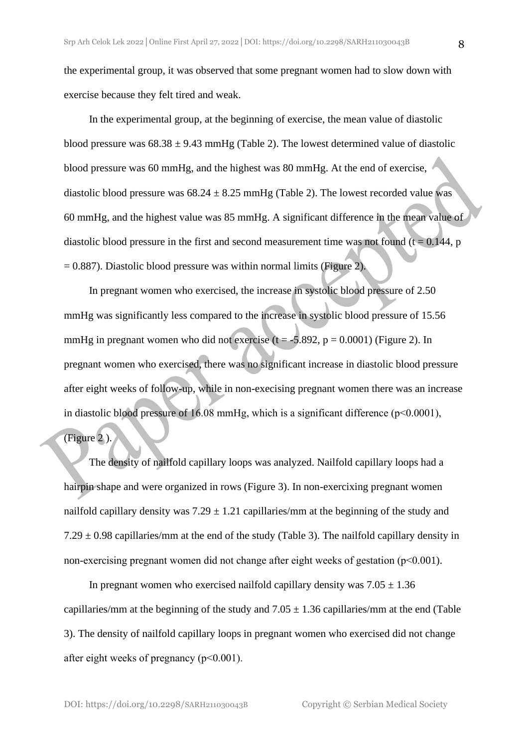the experimental group, it was observed that some pregnant women had to slow down with exercise because they felt tired and weak.

In the experimental group, at the beginning of exercise, the mean value of diastolic blood pressure was  $68.38 \pm 9.43$  mmHg (Table 2). The lowest determined value of diastolic blood pressure was 60 mmHg, and the highest was 80 mmHg. At the end of exercise, diastolic blood pressure was  $68.24 \pm 8.25$  mmHg (Table 2). The lowest recorded value was 60 mmHg, and the highest value was 85 mmHg. A significant difference in the mean value of diastolic blood pressure in the first and second measurement time was not found ( $t = 0.144$ , p  $= 0.887$ ). Diastolic blood pressure was within normal limits (Figure 2).

In pregnant women who exercised, the increase in systolic blood pressure of 2.50 mmHg was significantly less compared to the increase in systolic blood pressure of 15.56 mmHg in pregnant women who did not exercise  $(t = -5.892, p = 0.0001)$  (Figure 2). In pregnant women who exercised, there was no significant increase in diastolic blood pressure after eight weeks of follow-up, while in non-execising pregnant women there was an increase in diastolic blood pressure of 16.08 mmHg, which is a significant difference  $(p<0.0001)$ ,

## (Figure 2 ).

The density of nailfold capillary loops was analyzed. Nailfold capillary loops had a hairpin shape and were organized in rows (Figure 3). In non-exercixing pregnant women nailfold capillary density was  $7.29 \pm 1.21$  capillaries/mm at the beginning of the study and  $7.29 \pm 0.98$  capillaries/mm at the end of the study (Table 3). The nailfold capillary density in non-exercising pregnant women did not change after eight weeks of gestation (p<0.001).

In pregnant women who exercised nailfold capillary density was  $7.05 \pm 1.36$ capillaries/mm at the beginning of the study and  $7.05 \pm 1.36$  capillaries/mm at the end (Table 3). The density of nailfold capillary loops in pregnant women who exercised did not change after eight weeks of pregnancy (p˂0.001).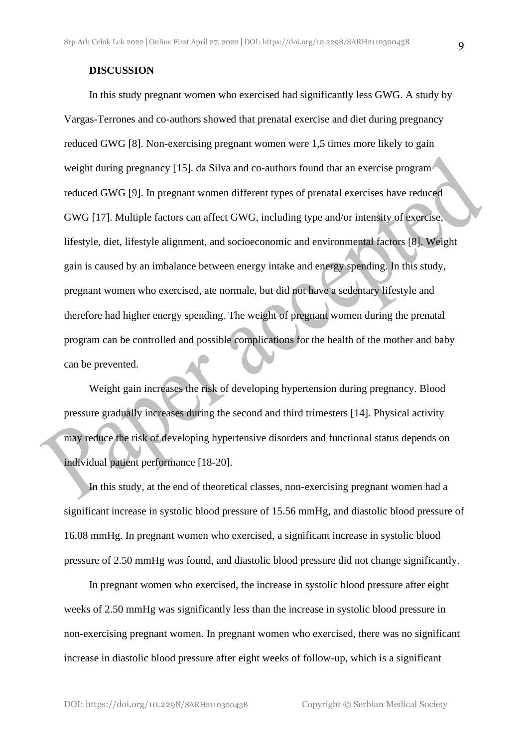#### **DISCUSSION**

In this study pregnant women who exercised had significantly less GWG. A study by Vargas-Terrones and co-authors showed that prenatal exercise and diet during pregnancy reduced GWG [8]. Non-exercising pregnant women were 1,5 times more likely to gain weight during pregnancy [15]. da Silva and co-authors found that an exercise program reduced GWG [9]. In pregnant women different types of prenatal exercises have reduced GWG [17]. Multiple factors can affect GWG, including type and/or intensity of exercise, lifestyle, diet, lifestyle alignment, and socioeconomic and environmental factors [8]. Weight gain is caused by an imbalance between energy intake and energy spending. In this study, pregnant women who exercised, ate normale, but did not have a sedentary lifestyle and therefore had higher energy spending. The weight of pregnant women during the prenatal program can be controlled and possible complications for the health of the mother and baby can be prevented.

Weight gain increases the risk of developing hypertension during pregnancy. Blood pressure gradually increases during the second and third trimesters [14]. Physical activity may reduce the risk of developing hypertensive disorders and functional status depends on individual patient performance [18-20].

In this study, at the end of theoretical classes, non-exercising pregnant women had a significant increase in systolic blood pressure of 15.56 mmHg, and diastolic blood pressure of 16.08 mmHg. In pregnant women who exercised, a significant increase in systolic blood pressure of 2.50 mmHg was found, and diastolic blood pressure did not change significantly.

In pregnant women who exercised, the increase in systolic blood pressure after eight weeks of 2.50 mmHg was significantly less than the increase in systolic blood pressure in non-exercising pregnant women. In pregnant women who exercised, there was no significant increase in diastolic blood pressure after eight weeks of follow-up, which is a significant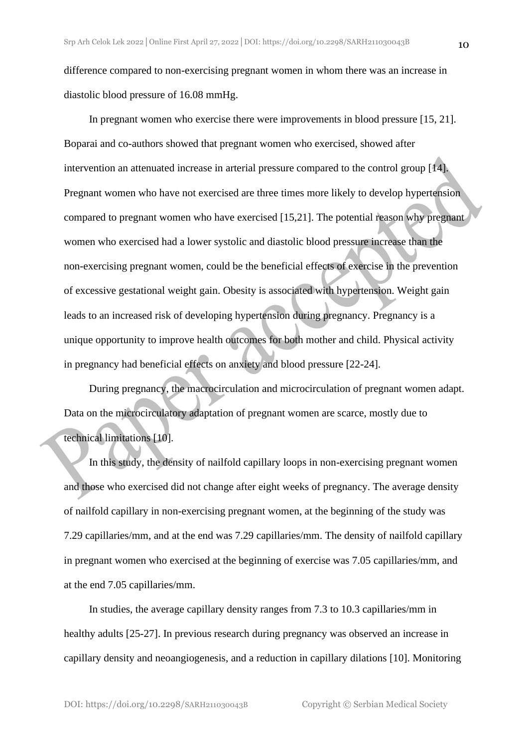difference compared to non-exercising pregnant women in whom there was an increase in diastolic blood pressure of 16.08 mmHg.

In pregnant women who exercise there were improvements in blood pressure [15, 21]. Boparai and co-authors showed that pregnant women who exercised, showed after intervention an attenuated increase in arterial pressure compared to the control group [14]. Pregnant women who have not exercised are three times more likely to develop hypertension compared to pregnant women who have exercised [15,21]. The potential reason why pregnant women who exercised had a lower systolic and diastolic blood pressure increase than the non-exercising pregnant women, could be the beneficial effects of exercise in the prevention of excessive gestational weight gain. Obesity is associated with hypertension. Weight gain leads to an increased risk of developing hypertension during pregnancy. Pregnancy is a unique opportunity to improve health outcomes for both mother and child. Physical activity in pregnancy had beneficial effects on anxiety and blood pressure [22-24].

During pregnancy, the macrocirculation and microcirculation of pregnant women adapt. Data on the microcirculatory adaptation of pregnant women are scarce, mostly due to technical limitations [10].

In this study, the density of nailfold capillary loops in non-exercising pregnant women and those who exercised did not change after eight weeks of pregnancy. The average density of nailfold capillary in non-exercising pregnant women, at the beginning of the study was 7.29 capillaries/mm, and at the end was 7.29 capillaries/mm. The density of nailfold capillary in pregnant women who exercised at the beginning of exercise was 7.05 capillaries/mm, and at the end 7.05 capillaries/mm.

In studies, the average capillary density ranges from 7.3 to 10.3 capillaries/mm in healthy adults [25-27]. In previous research during pregnancy was observed an increase in capillary density and neoangiogenesis, and a reduction in capillary dilations [10]. Monitoring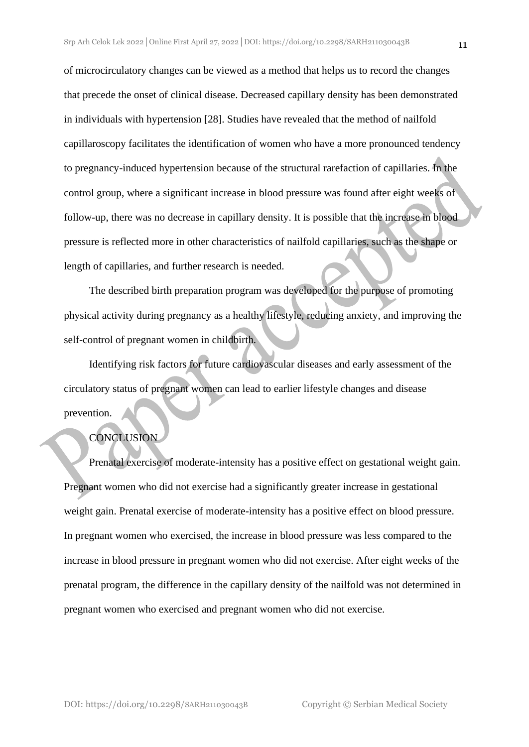of microcirculatory changes can be viewed as a method that helps us to record the changes that precede the onset of clinical disease. Decreased capillary density has been demonstrated in individuals with hypertension [28]. Studies have revealed that the method of nailfold capillaroscopy facilitates the identification of women who have a more pronounced tendency to pregnancy-induced hypertension because of the structural rarefaction of capillaries. In the control group, where a significant increase in blood pressure was found after eight weeks of follow-up, there was no decrease in capillary density. It is possible that the increase in blood pressure is reflected more in other characteristics of nailfold capillaries, such as the shape or length of capillaries, and further research is needed.

The described birth preparation program was developed for the purpose of promoting physical activity during pregnancy as a healthy lifestyle, reducing anxiety, and improving the self-control of pregnant women in childbirth.

Identifying risk factors for future cardiovascular diseases and early assessment of the circulatory status of pregnant women can lead to earlier lifestyle changes and disease prevention.

### **CONCLUSION**

Prenatal exercise of moderate-intensity has a positive effect on gestational weight gain. Pregnant women who did not exercise had a significantly greater increase in gestational weight gain. Prenatal exercise of moderate-intensity has a positive effect on blood pressure. In pregnant women who exercised, the increase in blood pressure was less compared to the increase in blood pressure in pregnant women who did not exercise. After eight weeks of the prenatal program, the difference in the capillary density of the nailfold was not determined in pregnant women who exercised and pregnant women who did not exercise.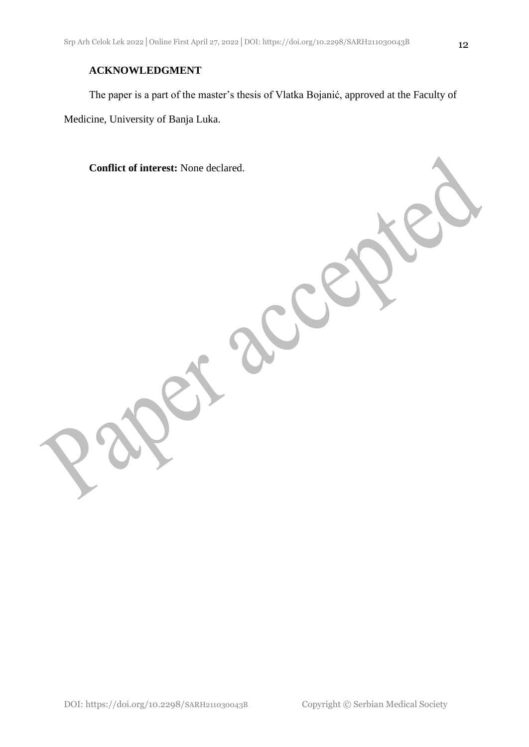### **ACKNOWLEDGMENT**

The paper is a part of the master's thesis of Vlatka Bojanić, approved at the Faculty of

Medicine, University of Banja Luka.

**Conflict of interest:** None declared.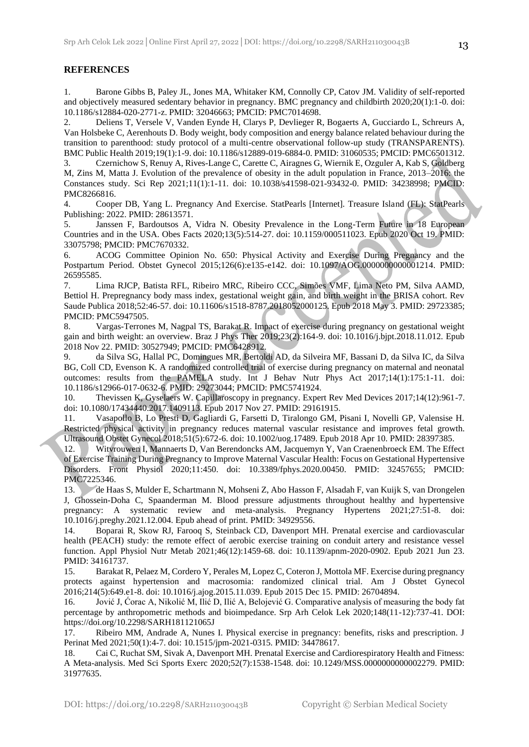#### **REFERENCES**

1. Barone Gibbs B, Paley JL, Jones MA, Whitaker KM, Connolly CP, Catov JM. Validity of self-reported and objectively measured sedentary behavior in pregnancy. BMC pregnancy and childbirth 2020;20(1):1-0. doi: 10.1186/s12884-020-2771-z. PMID: 32046663; PMCID: PMC7014698.

2. Deliens T, Versele V, Vanden Eynde H, Clarys P, Devlieger R, Bogaerts A, Gucciardo L, Schreurs A, Van Holsbeke C, Aerenhouts D. Body weight, body composition and energy balance related behaviour during the transition to parenthood: study protocol of a multi-centre observational follow-up study (TRANSPARENTS). BMC Public Health 2019;19(1):1-9. doi: 10.1186/s12889-019-6884-0. PMID: 31060535; PMCID: PMC6501312.

3. Czernichow S, Renuy A, Rives-Lange C, Carette C, Airagnes G, Wiernik E, Ozguler A, Kab S, Goldberg M, Zins M, Matta J. Evolution of the prevalence of obesity in the adult population in France, 2013–2016: the Constances study. Sci Rep 2021;11(1):1-11. doi: 10.1038/s41598-021-93432-0. PMID: 34238998; PMCID: PMC8266816.

4. Cooper DB, Yang L. Pregnancy And Exercise. StatPearls [Internet]. Treasure Island (FL): StatPearls Publishing: 2022. PMID: 28613571.

5. Janssen F, Bardoutsos A, Vidra N. Obesity Prevalence in the Long-Term Future in 18 European Countries and in the USA. Obes Facts 2020;13(5):514-27. doi: 10.1159/000511023. Epub 2020 Oct 19. PMID: 33075798; PMCID: PMC7670332.

6. ACOG Committee Opinion No. 650: Physical Activity and Exercise During Pregnancy and the Postpartum Period. Obstet Gynecol 2015;126(6):e135-e142. doi: 10.1097/AOG.0000000000001214. PMID: 26595585.

7. Lima RJCP, Batista RFL, Ribeiro MRC, Ribeiro CCC, Simões VMF, Lima Neto PM, Silva AAMD, Bettiol H. Prepregnancy body mass index, gestational weight gain, and birth weight in the BRISA cohort. Rev Saude Publica 2018;52:46-57. doi: 10.11606/s1518-8787.2018052000125. Epub 2018 May 3. PMID: 29723385; PMCID: PMC5947505.

8. Vargas-Terrones M, Nagpal TS, Barakat R. Impact of exercise during pregnancy on gestational weight gain and birth weight: an overview. Braz J Phys Ther 2019;23(2):164-9. doi: 10.1016/j.bjpt.2018.11.012. Epub 2018 Nov 22. PMID: 30527949; PMCID: PMC6428912.

9. da Silva SG, Hallal PC, Domingues MR, Bertoldi AD, da Silveira MF, Bassani D, da Silva IC, da Silva BG, Coll CD, Evenson K. A randomized controlled trial of exercise during pregnancy on maternal and neonatal outcomes: results from the PAMELA study. Int J Behav Nutr Phys Act 2017;14(1):175:1-11. doi: 10.1186/s12966-017-0632-6. PMID: 29273044; PMCID: PMC5741924.

10. Thevissen K, Gyselaers W. Capillaroscopy in pregnancy. Expert Rev Med Devices 2017;14(12):961-7. doi: 10.1080/17434440.2017.1409113. Epub 2017 Nov 27. PMID: 29161915.

11. Vasapollo B, Lo Presti D, Gagliardi G, Farsetti D, Tiralongo GM, Pisani I, Novelli GP, Valensise H. Restricted physical activity in pregnancy reduces maternal vascular resistance and improves fetal growth. Ultrasound Obstet Gynecol 2018;51(5):672-6. doi: 10.1002/uog.17489. Epub 2018 Apr 10. PMID: 28397385.

12. Witvrouwen I, Mannaerts D, Van Berendoncks AM, Jacquemyn Y, Van Craenenbroeck EM. The Effect of Exercise Training During Pregnancy to Improve Maternal Vascular Health: Focus on Gestational Hypertensive Disorders. Front Physiol 2020;11:450. doi: 10.3389/fphys.2020.00450. PMID: 32457655; PMCID: PMC7225346.

13. de Haas S, Mulder E, Schartmann N, Mohseni Z, Abo Hasson F, Alsadah F, van Kuijk S, van Drongelen J, Ghossein-Doha C, Spaanderman M. Blood pressure adjustments throughout healthy and hypertensive pregnancy: A systematic review and meta-analysis. Pregnancy Hypertens 2021;27:51-8. doi: 10.1016/j.preghy.2021.12.004. Epub ahead of print. PMID: 34929556.

14. Boparai R, Skow RJ, Farooq S, Steinback CD, Davenport MH. Prenatal exercise and cardiovascular health (PEACH) study: the remote effect of aerobic exercise training on conduit artery and resistance vessel function. Appl Physiol Nutr Metab 2021;46(12):1459-68. doi: 10.1139/apnm-2020-0902. Epub 2021 Jun 23. PMID: 34161737.

15. Barakat R, Pelaez M, Cordero Y, Perales M, Lopez C, Coteron J, Mottola MF. Exercise during pregnancy protects against hypertension and macrosomia: randomized clinical trial. Am J Obstet Gynecol 2016;214(5):649.e1-8. doi: 10.1016/j.ajog.2015.11.039. Epub 2015 Dec 15. PMID: 26704894.

16. Jović J, Ćorac A, Nikolić M, Ilić D, Ilić A, Belojević G. Comparative analysis of measuring the body fat percentage by anthropometric methods and bioimpedance. Srp Arh Celok Lek 2020;148(11-12):737-41. DOI: https://doi.org/10.2298/SARH181121065J

17. Ribeiro MM, Andrade A, Nunes I. Physical exercise in pregnancy: benefits, risks and prescription. J Perinat Med 2021;50(1):4-7. doi: 10.1515/jpm-2021-0315. PMID: 34478617.

18. Cai C, Ruchat SM, Sivak A, Davenport MH. Prenatal Exercise and Cardiorespiratory Health and Fitness: A Meta-analysis. Med Sci Sports Exerc 2020;52(7):1538-1548. doi: 10.1249/MSS.0000000000002279. PMID: 31977635.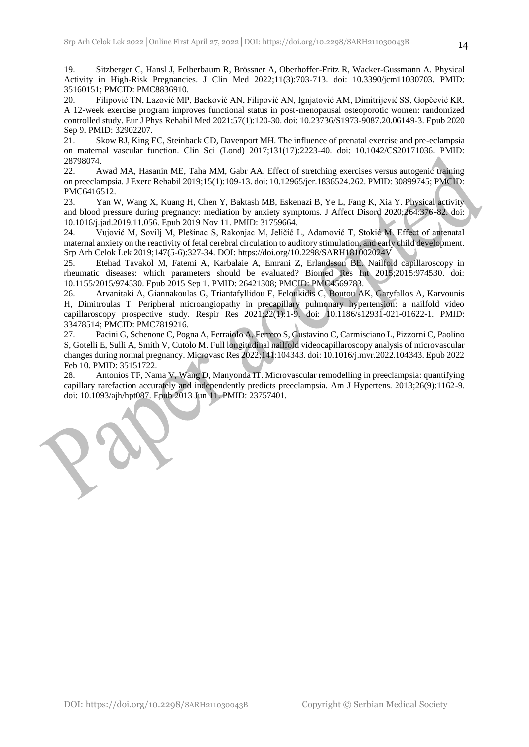19. Sitzberger C, Hansl J, Felberbaum R, Brössner A, Oberhoffer-Fritz R, Wacker-Gussmann A. Physical Activity in High-Risk Pregnancies. J Clin Med 2022;11(3):703-713. doi: 10.3390/jcm11030703. PMID: 35160151; PMCID: PMC8836910.

20. Filipović TN, Lazović MP, Backović AN, Filipović AN, Ignjatović AM, Dimitrijević SS, Gopčević KR. A 12-week exercise program improves functional status in post-menopausal osteoporotic women: randomized controlled study. Eur J Phys Rehabil Med 2021;57(1):120-30. doi: 10.23736/S1973-9087.20.06149-3. Epub 2020 Sep 9. PMID: 32902207.

21. Skow RJ, King EC, Steinback CD, Davenport MH. The influence of prenatal exercise and pre-eclampsia on maternal vascular function. Clin Sci (Lond) 2017;131(17):2223-40. doi: 10.1042/CS20171036. PMID: 28798074.

22. Awad MA, Hasanin ME, Taha MM, Gabr AA. Effect of stretching exercises versus autogenic training on preeclampsia. J Exerc Rehabil 2019;15(1):109-13. doi: 10.12965/jer.1836524.262. PMID: 30899745; PMCID: PMC6416512.

23. Yan W, Wang X, Kuang H, Chen Y, Baktash MB, Eskenazi B, Ye L, Fang K, Xia Y. Physical activity and blood pressure during pregnancy: mediation by anxiety symptoms. J Affect Disord 2020;264:376-82. doi: 10.1016/j.jad.2019.11.056. Epub 2019 Nov 11. PMID: 31759664.

24. Vujović M, Sovilj M, Plešinac S, Rakonjac M, Jeličić L, Adamović T, Stokić M. Effect of antenatal maternal anxiety on the reactivity of fetal cerebral circulation to auditory stimulation, and early child development. Srp Arh Celok Lek 2019;147(5-6):327-34. DOI: https://doi.org/10.2298/SARH181002024V

25. Etehad Tavakol M, Fatemi A, Karbalaie A, Emrani Z, Erlandsson BE. Nailfold capillaroscopy in rheumatic diseases: which parameters should be evaluated? Biomed Res Int 2015;2015:974530. doi: 10.1155/2015/974530. Epub 2015 Sep 1. PMID: 26421308; PMCID: PMC4569783.

26. Arvanitaki A, Giannakoulas G, Triantafyllidou E, Feloukidis C, Boutou AK, Garyfallos A, Karvounis H, Dimitroulas T. Peripheral microangiopathy in precapillary pulmonary hypertension: a nailfold video capillaroscopy prospective study. Respir Res 2021;22(1):1-9. doi: 10.1186/s12931-021-01622-1. PMID: 33478514; PMCID: PMC7819216.

27. Pacini G, Schenone C, Pogna A, Ferraiolo A, Ferrero S, Gustavino C, Carmisciano L, Pizzorni C, Paolino S, Gotelli E, Sulli A, Smith V, Cutolo M. Full longitudinal nailfold videocapillaroscopy analysis of microvascular changes during normal pregnancy. Microvasc Res 2022;141:104343. doi: 10.1016/j.mvr.2022.104343. Epub 2022 Feb 10. PMID: 35151722.

28. Antonios TF, Nama V, Wang D, Manyonda IT. Microvascular remodelling in preeclampsia: quantifying capillary rarefaction accurately and independently predicts preeclampsia. Am J Hypertens. 2013;26(9):1162-9. doi: 10.1093/ajh/hpt087. Epub 2013 Jun 11. PMID: 23757401.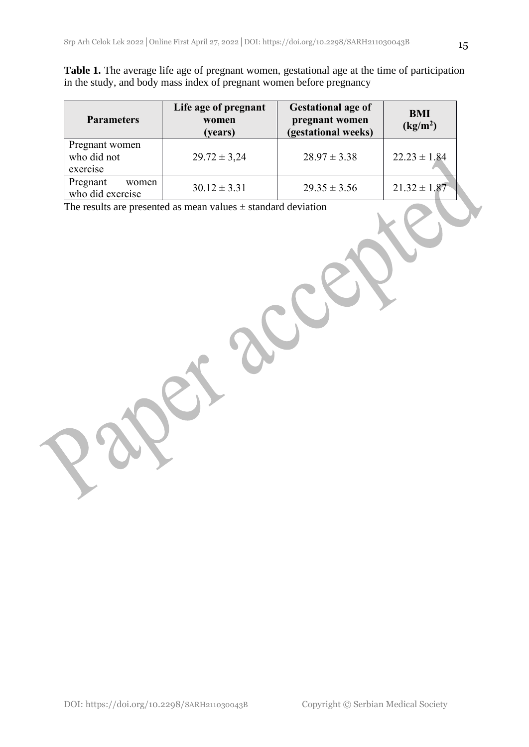| <b>Table 1.</b> The average life age of pregnant women, gestational age at the time of participation |  |
|------------------------------------------------------------------------------------------------------|--|
| in the study, and body mass index of pregnant women before pregnancy                                 |  |

| <b>Parameters</b>                         | Life age of pregnant<br>women<br>(years) | <b>Gestational age of</b><br>pregnant women<br>(gestational weeks) | <b>BMI</b><br>(kg/m <sup>2</sup> ) |
|-------------------------------------------|------------------------------------------|--------------------------------------------------------------------|------------------------------------|
| Pregnant women<br>who did not<br>exercise | $29.72 \pm 3.24$                         | $28.97 \pm 3.38$                                                   | $22.23 \pm 1.84$                   |
| Pregnant<br>women<br>who did exercise     | $30.12 \pm 3.31$                         | $29.35 \pm 3.56$                                                   | $21.32 \pm 1.87$                   |

The results are presented as mean values  $\pm$  standard deviation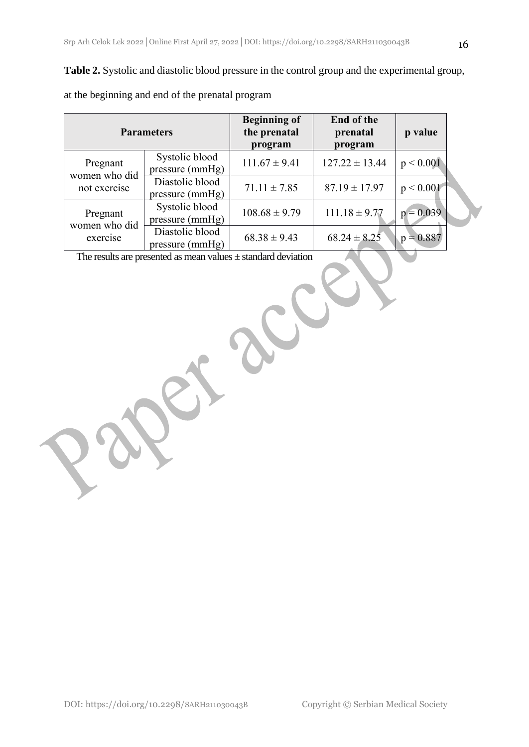| <b>Parameters</b>                         |                                    | <b>Beginning of</b><br>the prenatal<br>program | End of the<br>prenatal<br>program | p value     |
|-------------------------------------------|------------------------------------|------------------------------------------------|-----------------------------------|-------------|
| Pregnant<br>women who did<br>not exercise | Systolic blood<br>pressure (mmHg)  | $111.67 \pm 9.41$                              | $127.22 \pm 13.44$                | p < 0.001   |
|                                           | Diastolic blood<br>pressure (mmHg) | $71.11 \pm 7.85$                               | $87.19 \pm 17.97$                 | p < 0.001   |
| Pregnant<br>women who did<br>exercise     | Systolic blood<br>pressure (mmHg)  | $108.68 \pm 9.79$                              | $111.18 \pm 9.77$                 | $p = 0.039$ |
|                                           | Diastolic blood<br>pressure (mmHg) | $68.38 \pm 9.43$                               | $68.24 \pm 8.25$                  | $= 0.887$   |

at the beginning and end of the prenatal program

The results are presented as mean values ± standard deviation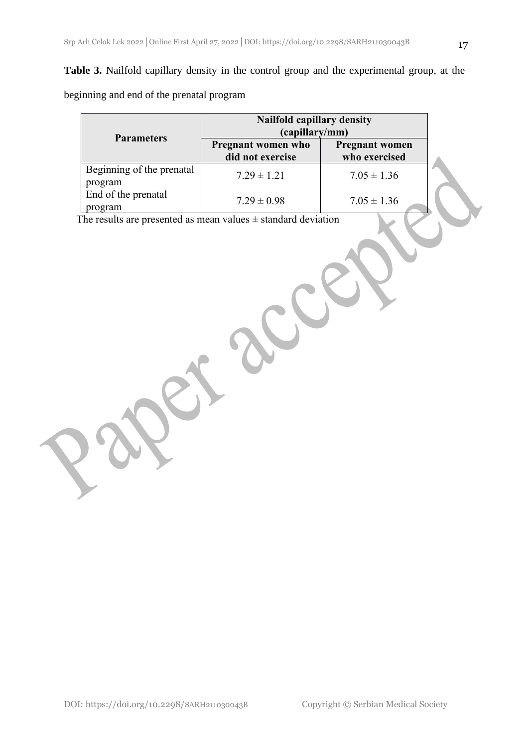## **Table 3.** Nailfold capillary density in the control group and the experimental group, at the

beginning and end of the prenatal program

|                                      | Nailfold capillary density<br>(capillary/mm)  |                                        |  |
|--------------------------------------|-----------------------------------------------|----------------------------------------|--|
| <b>Parameters</b>                    | <b>Pregnant women who</b><br>did not exercise | <b>Pregnant women</b><br>who exercised |  |
| Beginning of the prenatal<br>program | $7.29 \pm 1.21$                               | $7.05 \pm 1.36$                        |  |
| End of the prenatal<br>program       | $7.29 \pm 0.98$                               | $7.05 \pm 1.36$                        |  |

The results are presented as mean values  $\pm$  standard deviation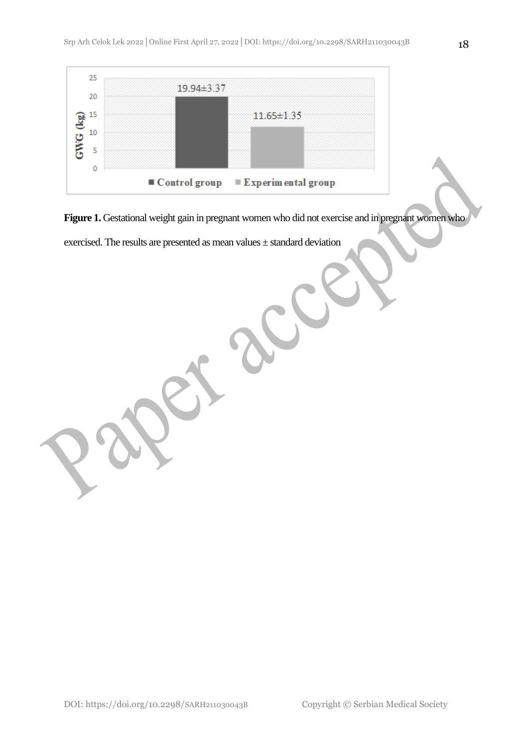

**Figure 1.** Gestational weight gain in pregnant women who did not exercise and in pregnant women who

exercised. The results are presented as mean values ± standard deviation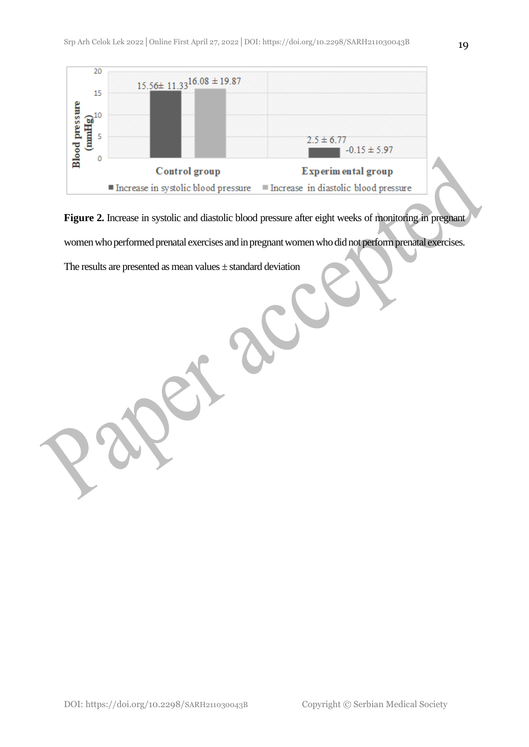

**Figure 2.** Increase in systolic and diastolic blood pressure after eight weeks of monitoring in pregnant women who performed prenatal exercises and in pregnant women who did not perform prenatal exercises.

The results are presented as mean values  $\pm$  standard deviation